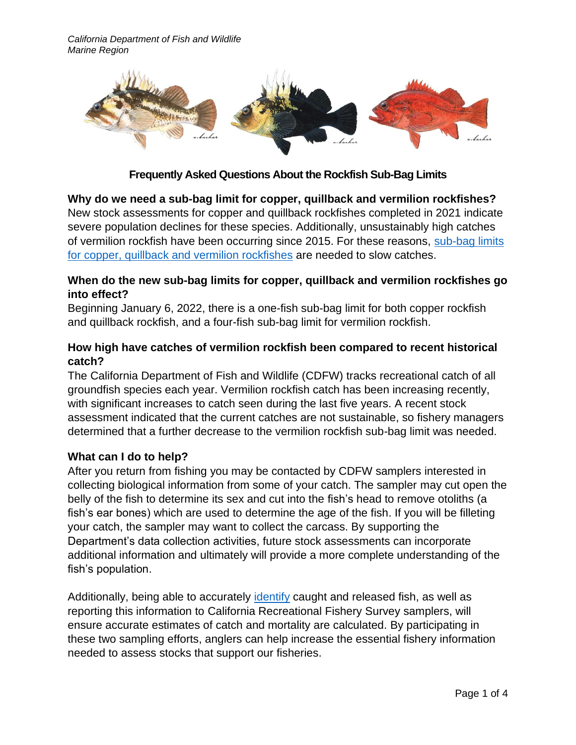

**Frequently Asked Questions About the Rockfish Sub-Bag Limits**

**Why do we need a sub-bag limit for copper, quillback and vermilion rockfishes?** New stock assessments for copper and quillback rockfishes completed in 2021 indicate severe population declines for these species. Additionally, unsustainably high catches of vermilion rockfish have been occurring since 2015. For these reasons, sub-bag limits [for copper, quillback and vermilion rockfishes](https://www.pcouncil.org/documents/2021/11/e-7-a-supplemental-cdfw-report-2.pdf/) are needed to slow catches.

### **When do the new sub-bag limits for copper, quillback and vermilion rockfishes go into effect?**

Beginning January 6, 2022, there is a one-fish sub-bag limit for both copper rockfish and quillback rockfish, and a four-fish sub-bag limit for vermilion rockfish.

## **How high have catches of vermilion rockfish been compared to recent historical catch?**

The California Department of Fish and Wildlife (CDFW) tracks recreational catch of all groundfish species each year. Vermilion rockfish catch has been increasing recently, with significant increases to catch seen during the last five years. A recent stock assessment indicated that the current catches are not sustainable, so fishery managers determined that a further decrease to the vermilion rockfish sub-bag limit was needed.

# **What can I do to help?**

After you return from fishing you may be contacted by CDFW samplers interested in collecting biological information from some of your catch. The sampler may cut open the belly of the fish to determine its sex and cut into the fish's head to remove otoliths (a fish's ear bones) which are used to determine the age of the fish. If you will be filleting your catch, the sampler may want to collect the carcass. By supporting the Department's data collection activities, future stock assessments can incorporate additional information and ultimately will provide a more complete understanding of the fish's population.

Additionally, being able to accurately [identify](https://wildlife.ca.gov/Fishing/Ocean/Fish-ID) caught and released fish, as well as reporting this information to California Recreational Fishery Survey samplers, will ensure accurate estimates of catch and mortality are calculated. By participating in these two sampling efforts, anglers can help increase the essential fishery information needed to assess stocks that support our fisheries.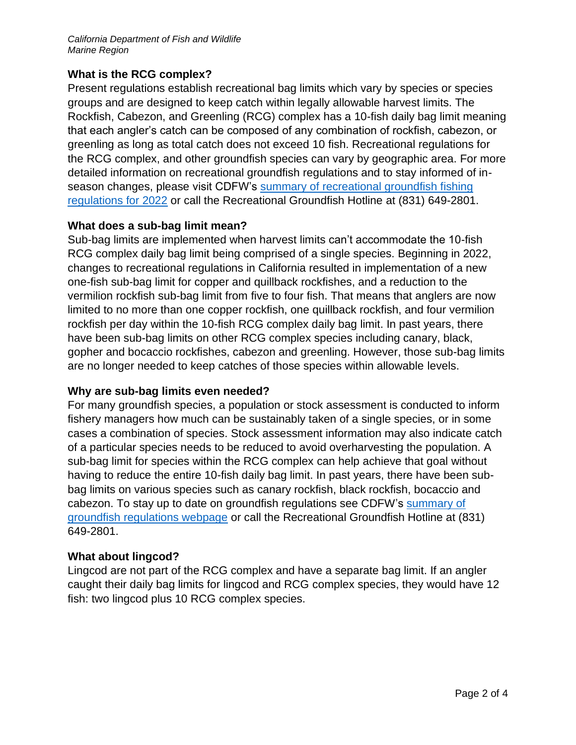### **What is the RCG complex?**

Present regulations establish recreational bag limits which vary by species or species groups and are designed to keep catch within legally allowable harvest limits. The Rockfish, Cabezon, and Greenling (RCG) complex has a 10-fish daily bag limit meaning that each angler's catch can be composed of any combination of rockfish, cabezon, or greenling as long as total catch does not exceed 10 fish. Recreational regulations for the RCG complex, and other groundfish species can vary by geographic area. For more detailed information on recreational groundfish regulations and to stay informed of inseason changes, please visit CDFW's [summary of recreational groundfish fishing](https://www.wildlife.ca.gov/Fishing/Ocean/Regulations/Groundfish-Summary)  [regulations for 2022](https://www.wildlife.ca.gov/Fishing/Ocean/Regulations/Groundfish-Summary) or call the Recreational Groundfish Hotline at (831) 649-2801.

### **What does a sub-bag limit mean?**

Sub-bag limits are implemented when harvest limits can't accommodate the 10-fish RCG complex daily bag limit being comprised of a single species. Beginning in 2022, changes to recreational regulations in California resulted in implementation of a new one-fish sub-bag limit for copper and quillback rockfishes, and a reduction to the vermilion rockfish sub-bag limit from five to four fish. That means that anglers are now limited to no more than one copper rockfish, one quillback rockfish, and four vermilion rockfish per day within the 10-fish RCG complex daily bag limit. In past years, there have been sub-bag limits on other RCG complex species including canary, black, gopher and bocaccio rockfishes, cabezon and greenling. However, those sub-bag limits are no longer needed to keep catches of those species within allowable levels.

### **Why are sub-bag limits even needed?**

For many groundfish species, a population or stock assessment is conducted to inform fishery managers how much can be sustainably taken of a single species, or in some cases a combination of species. Stock assessment information may also indicate catch of a particular species needs to be reduced to avoid overharvesting the population. A sub-bag limit for species within the RCG complex can help achieve that goal without having to reduce the entire 10-fish daily bag limit. In past years, there have been subbag limits on various species such as canary rockfish, black rockfish, bocaccio and cabezon. To stay up to date on groundfish regulations see CDFW's summary of [groundfish regulations webpage](https://wildlife.ca.gov/Fishing/Ocean/Regulations/Groundfish-Summary) or call the Recreational Groundfish Hotline at (831) 649-2801.

### **What about lingcod?**

Lingcod are not part of the RCG complex and have a separate bag limit. If an angler caught their daily bag limits for lingcod and RCG complex species, they would have 12 fish: two lingcod plus 10 RCG complex species.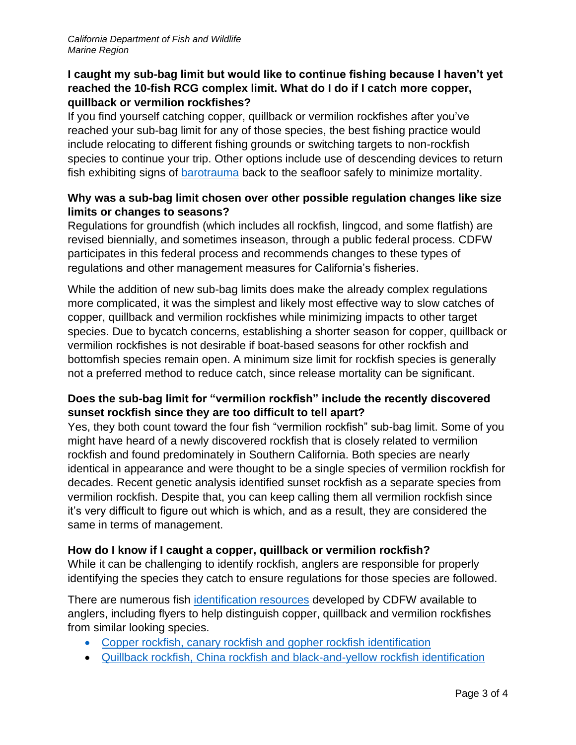## **I caught my sub-bag limit but would like to continue fishing because I haven't yet reached the 10-fish RCG complex limit. What do I do if I catch more copper, quillback or vermilion rockfishes?**

If you find yourself catching copper, quillback or vermilion rockfishes after you've reached your sub-bag limit for any of those species, the best fishing practice would include relocating to different fishing grounds or switching targets to non-rockfish species to continue your trip. Other options include use of descending devices to return fish exhibiting signs of [barotrauma](https://wildlife.ca.gov/conservation/marine/groundfish/barotrauma) back to the seafloor safely to minimize mortality.

### **Why was a sub-bag limit chosen over other possible regulation changes like size limits or changes to seasons?**

Regulations for groundfish (which includes all rockfish, lingcod, and some flatfish) are revised biennially, and sometimes inseason, through a public federal process. CDFW participates in this federal process and recommends changes to these types of regulations and other management measures for California's fisheries.

While the addition of new sub-bag limits does make the already complex regulations more complicated, it was the simplest and likely most effective way to slow catches of copper, quillback and vermilion rockfishes while minimizing impacts to other target species. Due to bycatch concerns, establishing a shorter season for copper, quillback or vermilion rockfishes is not desirable if boat-based seasons for other rockfish and bottomfish species remain open. A minimum size limit for rockfish species is generally not a preferred method to reduce catch, since release mortality can be significant.

## **Does the sub-bag limit for "vermilion rockfish" include the recently discovered sunset rockfish since they are too difficult to tell apart?**

Yes, they both count toward the four fish "vermilion rockfish" sub-bag limit. Some of you might have heard of a newly discovered rockfish that is closely related to vermilion rockfish and found predominately in Southern California. Both species are nearly identical in appearance and were thought to be a single species of vermilion rockfish for decades. Recent genetic analysis identified sunset rockfish as a separate species from vermilion rockfish. Despite that, you can keep calling them all vermilion rockfish since it's very difficult to figure out which is which, and as a result, they are considered the same in terms of management.

# **How do I know if I caught a copper, quillback or vermilion rockfish?**

While it can be challenging to identify rockfish, anglers are responsible for properly identifying the species they catch to ensure regulations for those species are followed.

There are numerous fish [identification resources](https://wildlife.ca.gov/Fishing/Ocean/Fish-ID) developed by CDFW available to anglers, including flyers to help distinguish copper, quillback and vermilion rockfishes from similar looking species.

- [Copper rockfish, canary rockfish and gopher rockfish identification](https://nrm.dfg.ca.gov/FileHandler.ashx?DocumentID=197164&inline)
- [Quillback rockfish, China rockfish and black-and-yellow rockfish identification](https://nrm.dfg.ca.gov/FileHandler.ashx?DocumentID=197176&inline)